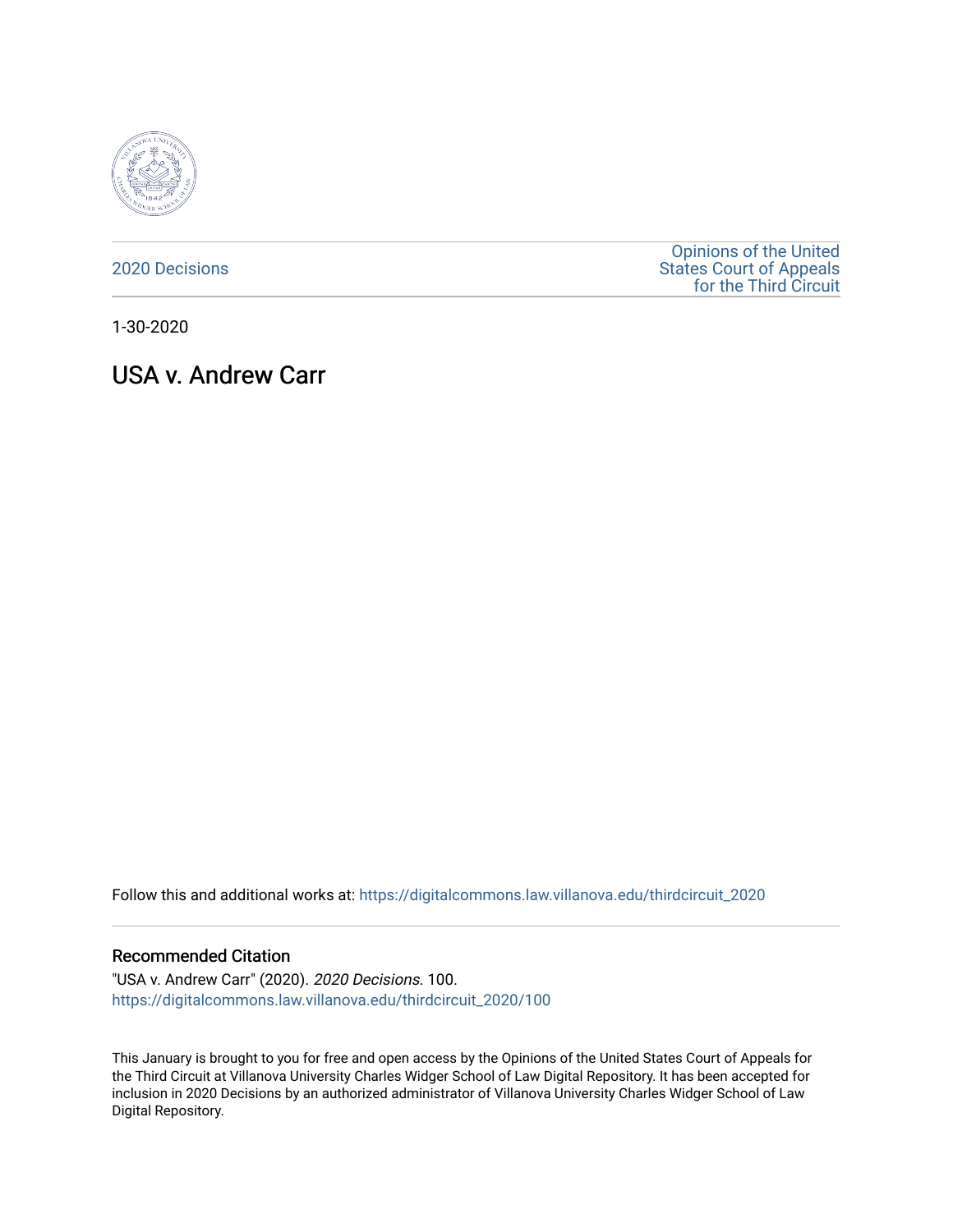

[2020 Decisions](https://digitalcommons.law.villanova.edu/thirdcircuit_2020)

[Opinions of the United](https://digitalcommons.law.villanova.edu/thirdcircuit)  [States Court of Appeals](https://digitalcommons.law.villanova.edu/thirdcircuit)  [for the Third Circuit](https://digitalcommons.law.villanova.edu/thirdcircuit) 

1-30-2020

USA v. Andrew Carr

Follow this and additional works at: [https://digitalcommons.law.villanova.edu/thirdcircuit\\_2020](https://digitalcommons.law.villanova.edu/thirdcircuit_2020?utm_source=digitalcommons.law.villanova.edu%2Fthirdcircuit_2020%2F100&utm_medium=PDF&utm_campaign=PDFCoverPages) 

## Recommended Citation

"USA v. Andrew Carr" (2020). 2020 Decisions. 100. [https://digitalcommons.law.villanova.edu/thirdcircuit\\_2020/100](https://digitalcommons.law.villanova.edu/thirdcircuit_2020/100?utm_source=digitalcommons.law.villanova.edu%2Fthirdcircuit_2020%2F100&utm_medium=PDF&utm_campaign=PDFCoverPages)

This January is brought to you for free and open access by the Opinions of the United States Court of Appeals for the Third Circuit at Villanova University Charles Widger School of Law Digital Repository. It has been accepted for inclusion in 2020 Decisions by an authorized administrator of Villanova University Charles Widger School of Law Digital Repository.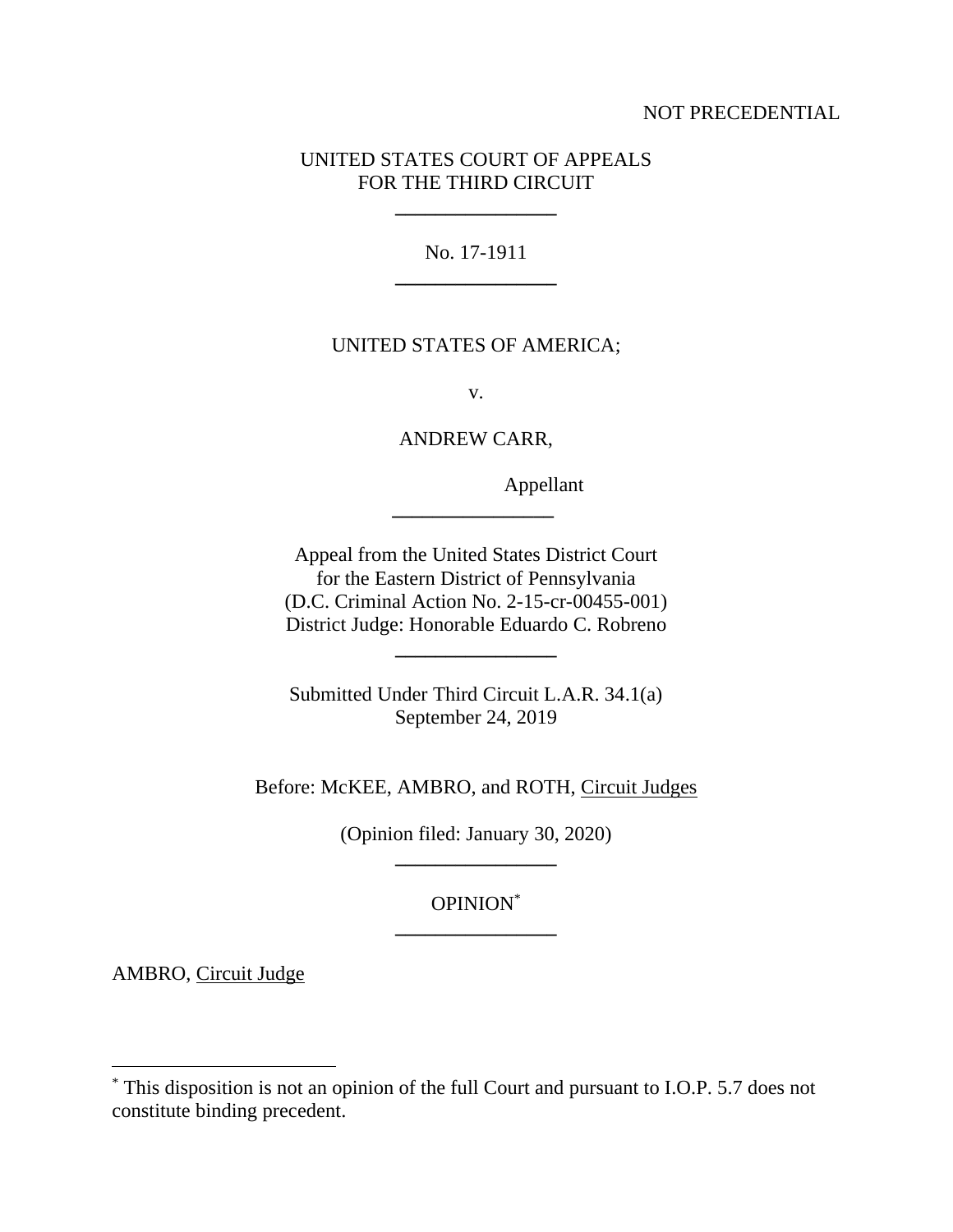## NOT PRECEDENTIAL

## UNITED STATES COURT OF APPEALS FOR THE THIRD CIRCUIT

**\_\_\_\_\_\_\_\_\_\_\_\_\_\_\_\_**

No. 17-1911 **\_\_\_\_\_\_\_\_\_\_\_\_\_\_\_\_**

## UNITED STATES OF AMERICA;

v.

ANDREW CARR,

**\_\_\_\_\_\_\_\_\_\_\_\_\_\_\_\_**

Appellant

Appeal from the United States District Court for the Eastern District of Pennsylvania (D.C. Criminal Action No. 2-15-cr-00455-001) District Judge: Honorable Eduardo C. Robreno

**\_\_\_\_\_\_\_\_\_\_\_\_\_\_\_\_**

Submitted Under Third Circuit L.A.R. 34.1(a) September 24, 2019

Before: McKEE, AMBRO, and ROTH, Circuit Judges

(Opinion filed: January 30, 2020) **\_\_\_\_\_\_\_\_\_\_\_\_\_\_\_\_**

> OPINION\* **\_\_\_\_\_\_\_\_\_\_\_\_\_\_\_\_**

AMBRO, Circuit Judge

<sup>\*</sup> This disposition is not an opinion of the full Court and pursuant to I.O.P. 5.7 does not constitute binding precedent.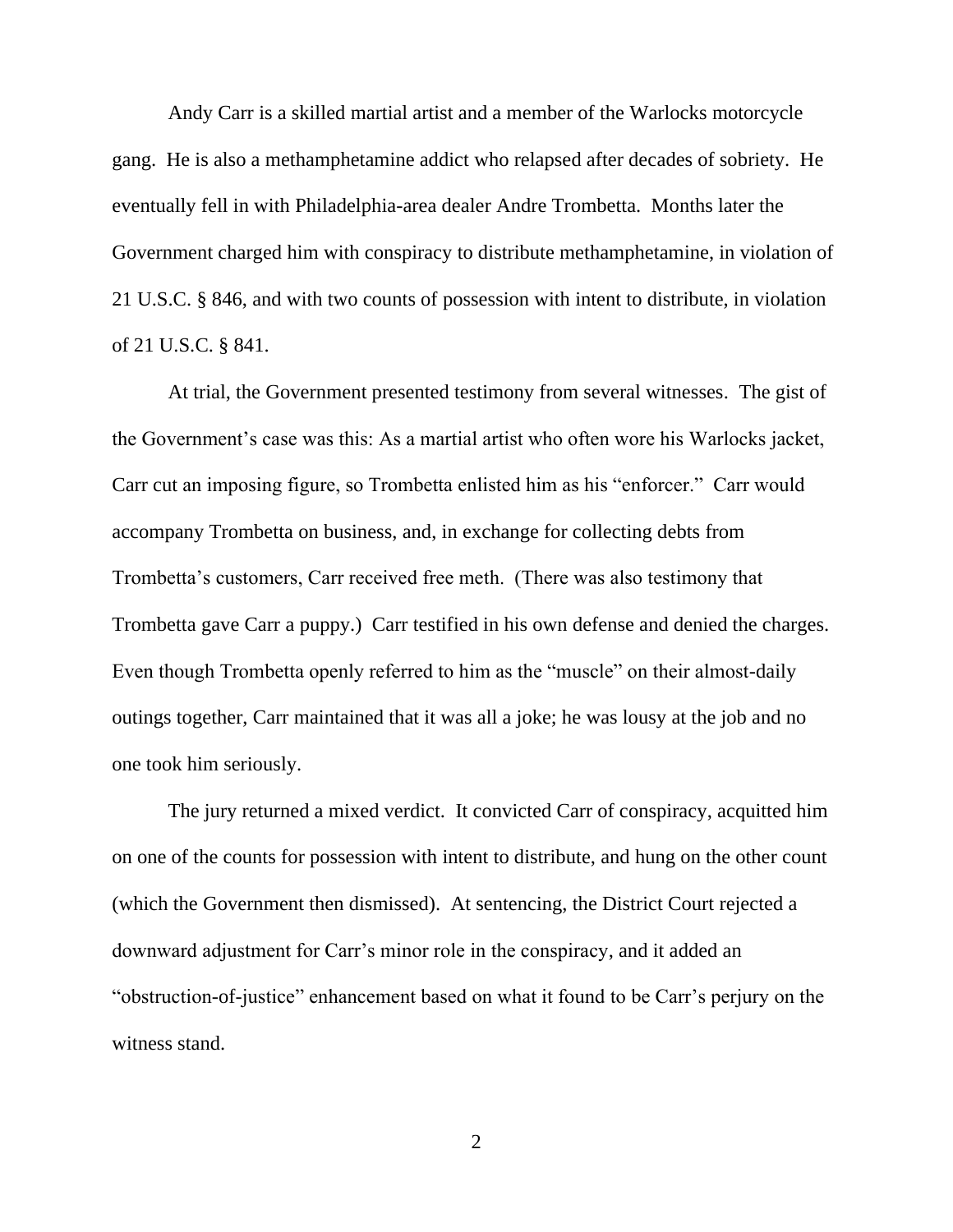Andy Carr is a skilled martial artist and a member of the Warlocks motorcycle gang. He is also a methamphetamine addict who relapsed after decades of sobriety. He eventually fell in with Philadelphia-area dealer Andre Trombetta. Months later the Government charged him with conspiracy to distribute methamphetamine, in violation of 21 U.S.C. § 846, and with two counts of possession with intent to distribute, in violation of 21 U.S.C. § 841.

At trial, the Government presented testimony from several witnesses. The gist of the Government's case was this: As a martial artist who often wore his Warlocks jacket, Carr cut an imposing figure, so Trombetta enlisted him as his "enforcer." Carr would accompany Trombetta on business, and, in exchange for collecting debts from Trombetta's customers, Carr received free meth. (There was also testimony that Trombetta gave Carr a puppy.) Carr testified in his own defense and denied the charges. Even though Trombetta openly referred to him as the "muscle" on their almost-daily outings together, Carr maintained that it was all a joke; he was lousy at the job and no one took him seriously.

The jury returned a mixed verdict. It convicted Carr of conspiracy, acquitted him on one of the counts for possession with intent to distribute, and hung on the other count (which the Government then dismissed). At sentencing, the District Court rejected a downward adjustment for Carr's minor role in the conspiracy, and it added an "obstruction-of-justice" enhancement based on what it found to be Carr's perjury on the witness stand.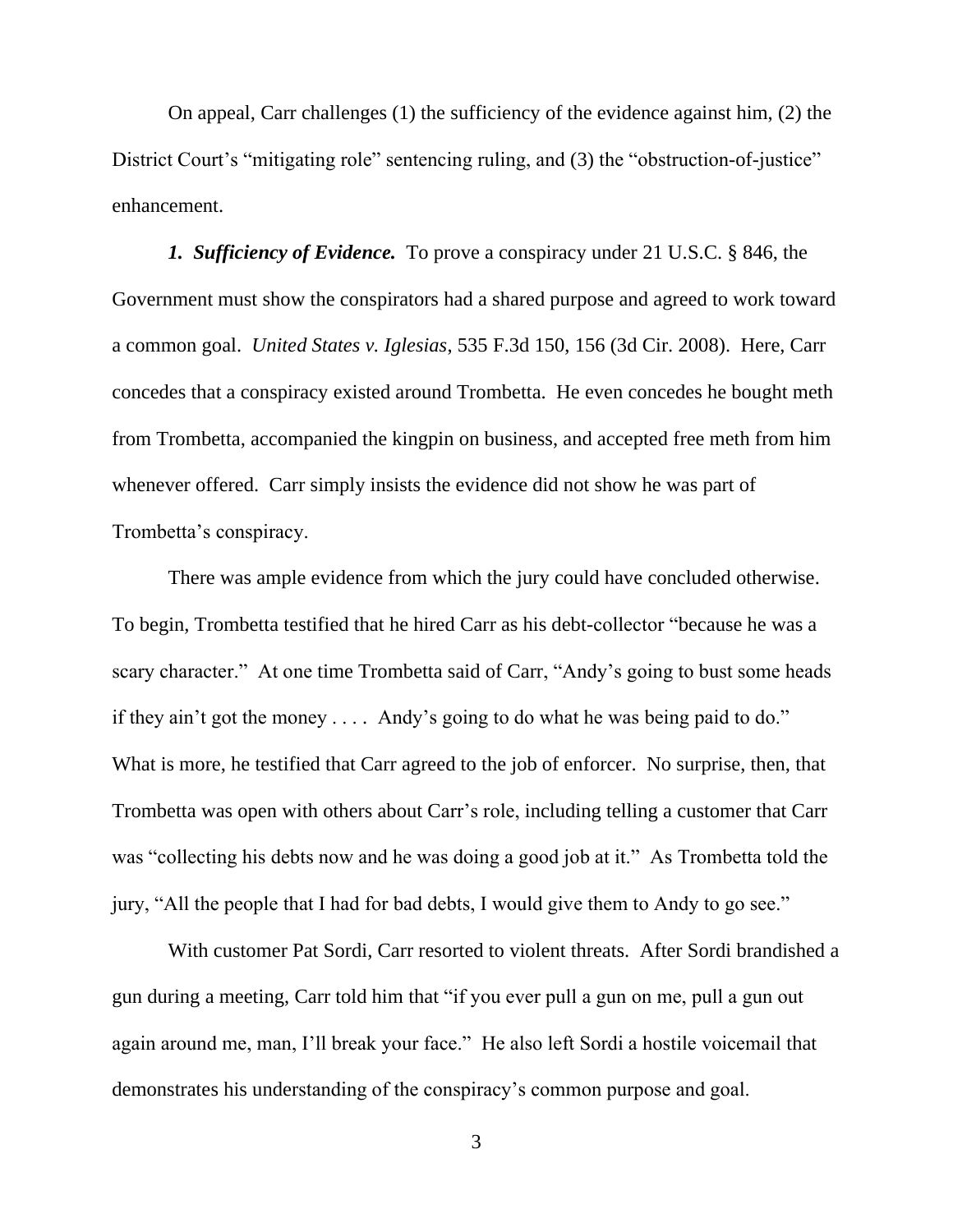On appeal, Carr challenges (1) the sufficiency of the evidence against him, (2) the District Court's "mitigating role" sentencing ruling, and (3) the "obstruction-of-justice" enhancement.

*1. Sufficiency of Evidence.* To prove a conspiracy under 21 U.S.C. § 846, the Government must show the conspirators had a shared purpose and agreed to work toward a common goal. *United States v. Iglesias*, 535 F.3d 150, 156 (3d Cir. 2008). Here, Carr concedes that a conspiracy existed around Trombetta. He even concedes he bought meth from Trombetta, accompanied the kingpin on business, and accepted free meth from him whenever offered. Carr simply insists the evidence did not show he was part of Trombetta's conspiracy.

There was ample evidence from which the jury could have concluded otherwise. To begin, Trombetta testified that he hired Carr as his debt-collector "because he was a scary character." At one time Trombetta said of Carr, "Andy's going to bust some heads if they ain't got the money . . . . Andy's going to do what he was being paid to do." What is more, he testified that Carr agreed to the job of enforcer. No surprise, then, that Trombetta was open with others about Carr's role, including telling a customer that Carr was "collecting his debts now and he was doing a good job at it." As Trombetta told the jury, "All the people that I had for bad debts, I would give them to Andy to go see."

With customer Pat Sordi, Carr resorted to violent threats. After Sordi brandished a gun during a meeting, Carr told him that "if you ever pull a gun on me, pull a gun out again around me, man, I'll break your face." He also left Sordi a hostile voicemail that demonstrates his understanding of the conspiracy's common purpose and goal.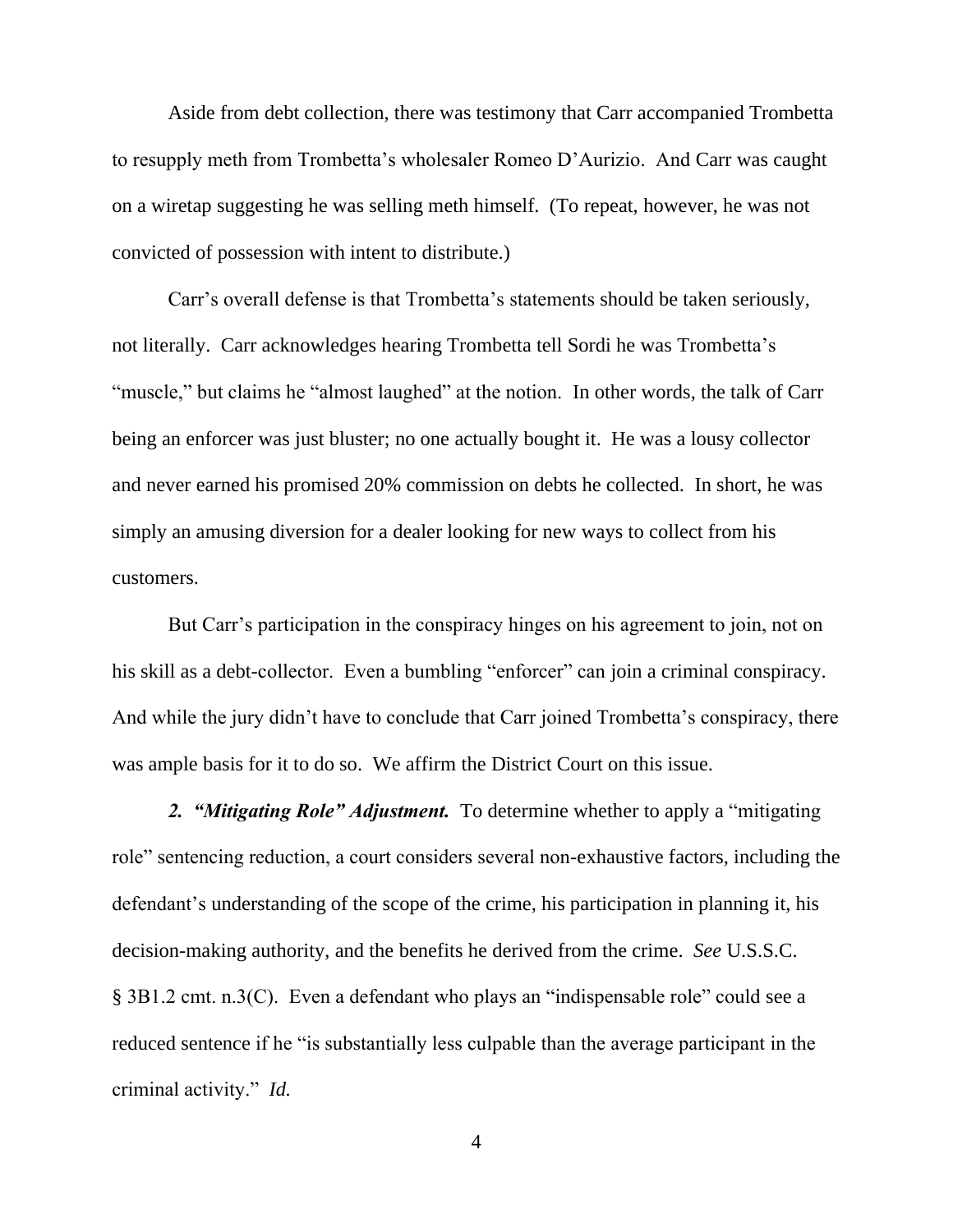Aside from debt collection, there was testimony that Carr accompanied Trombetta to resupply meth from Trombetta's wholesaler Romeo D'Aurizio. And Carr was caught on a wiretap suggesting he was selling meth himself. (To repeat, however, he was not convicted of possession with intent to distribute.)

Carr's overall defense is that Trombetta's statements should be taken seriously, not literally. Carr acknowledges hearing Trombetta tell Sordi he was Trombetta's "muscle," but claims he "almost laughed" at the notion. In other words, the talk of Carr being an enforcer was just bluster; no one actually bought it. He was a lousy collector and never earned his promised 20% commission on debts he collected. In short, he was simply an amusing diversion for a dealer looking for new ways to collect from his customers.

But Carr's participation in the conspiracy hinges on his agreement to join, not on his skill as a debt-collector. Even a bumbling "enforcer" can join a criminal conspiracy. And while the jury didn't have to conclude that Carr joined Trombetta's conspiracy, there was ample basis for it to do so. We affirm the District Court on this issue.

*2. "Mitigating Role" Adjustment.* To determine whether to apply a "mitigating role" sentencing reduction, a court considers several non-exhaustive factors, including the defendant's understanding of the scope of the crime, his participation in planning it, his decision-making authority, and the benefits he derived from the crime. *See* U.S.S.C. § 3B1.2 cmt. n.3(C). Even a defendant who plays an "indispensable role" could see a reduced sentence if he "is substantially less culpable than the average participant in the criminal activity." *Id.*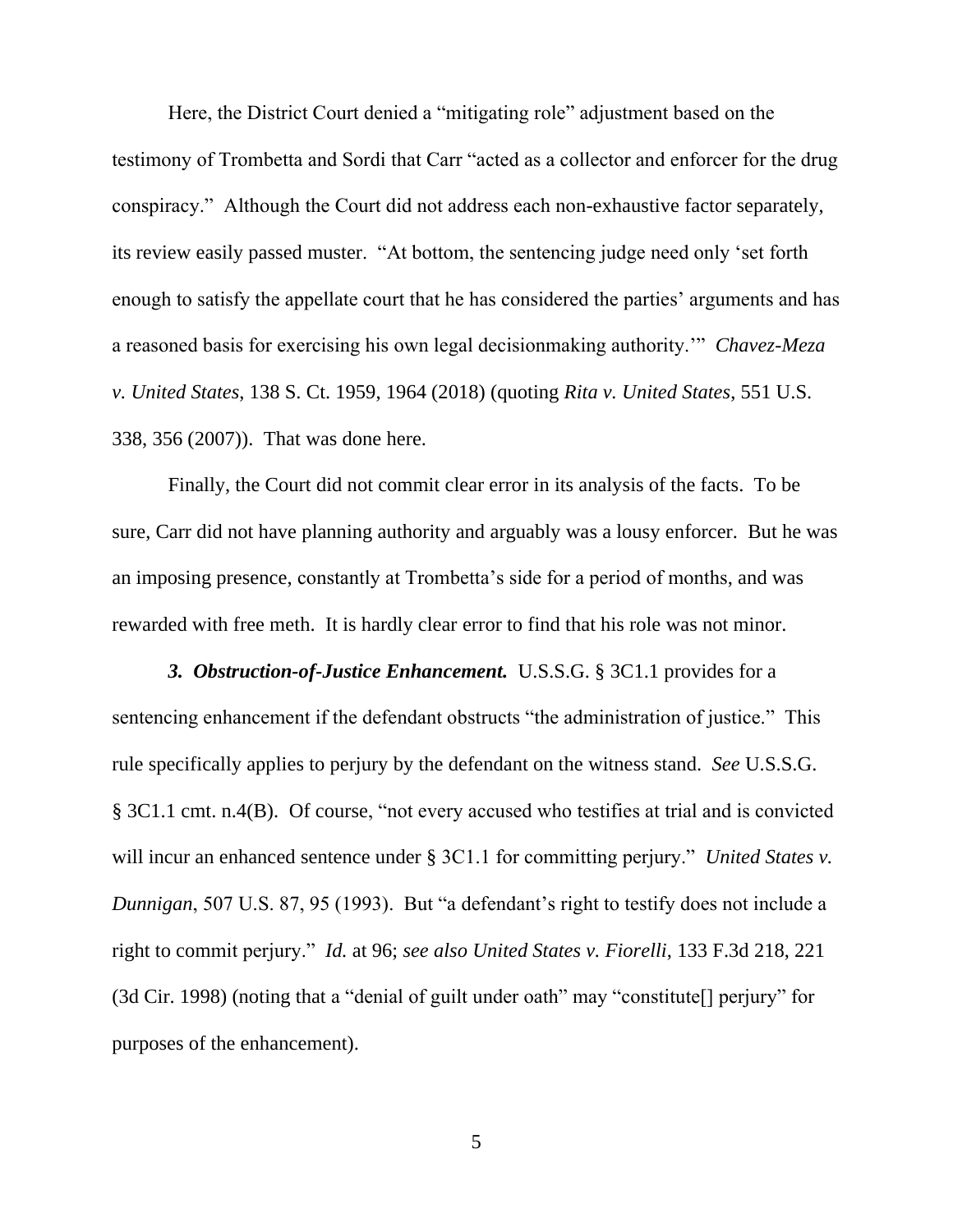Here, the District Court denied a "mitigating role" adjustment based on the testimony of Trombetta and Sordi that Carr "acted as a collector and enforcer for the drug conspiracy." Although the Court did not address each non-exhaustive factor separately, its review easily passed muster. "At bottom, the sentencing judge need only 'set forth enough to satisfy the appellate court that he has considered the parties' arguments and has a reasoned basis for exercising his own legal decisionmaking authority.'" *Chavez-Meza v. United States*, 138 S. Ct. 1959, 1964 (2018) (quoting *Rita v. United States*, 551 U.S. 338, 356 (2007)). That was done here.

Finally, the Court did not commit clear error in its analysis of the facts. To be sure, Carr did not have planning authority and arguably was a lousy enforcer. But he was an imposing presence, constantly at Trombetta's side for a period of months, and was rewarded with free meth. It is hardly clear error to find that his role was not minor.

*3. Obstruction-of-Justice Enhancement.* U.S.S.G. § 3C1.1 provides for a sentencing enhancement if the defendant obstructs "the administration of justice." This rule specifically applies to perjury by the defendant on the witness stand. *See* U.S.S.G. § 3C1.1 cmt. n.4(B). Of course, "not every accused who testifies at trial and is convicted will incur an enhanced sentence under § 3C1.1 for committing perjury." *United States v. Dunnigan*, 507 U.S. 87, 95 (1993). But "a defendant's right to testify does not include a right to commit perjury." *Id.* at 96; *see also United States v. Fiorelli*, 133 F.3d 218, 221 (3d Cir. 1998) (noting that a "denial of guilt under oath" may "constitute[] perjury" for purposes of the enhancement).